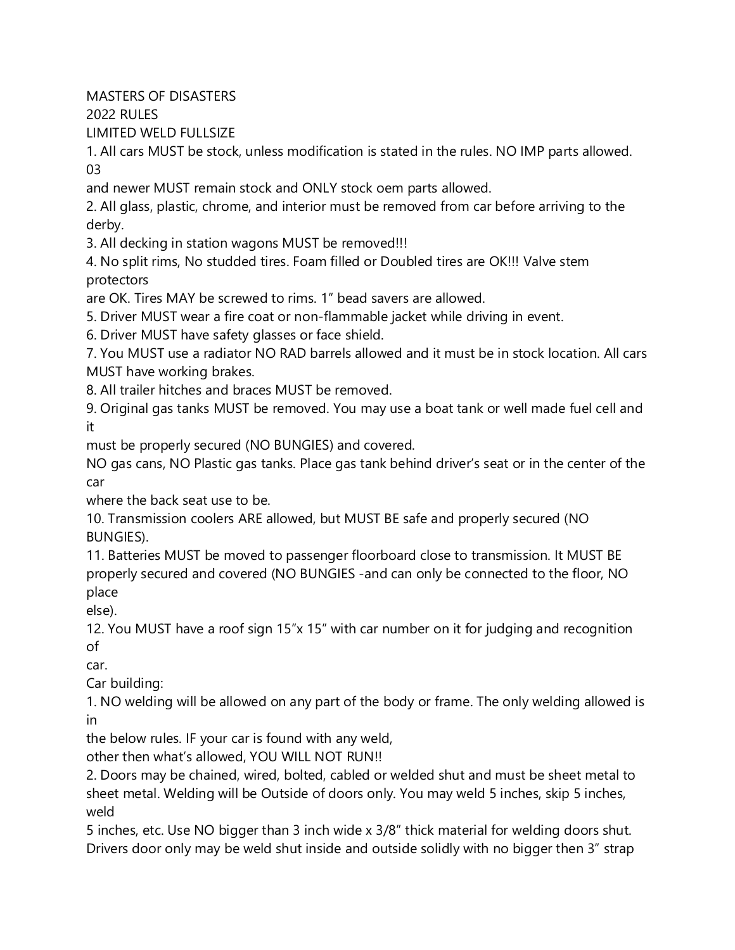MASTERS OF DISASTERS

2022 RULES

LIMITED WELD FULLSIZE

1. All cars MUST be stock, unless modification is stated in the rules. NO IMP parts allowed. 03

and newer MUST remain stock and ONLY stock oem parts allowed.

2. All glass, plastic, chrome, and interior must be removed from car before arriving to the derby.

3. All decking in station wagons MUST be removed!!!

4. No split rims, No studded tires. Foam filled or Doubled tires are OK!!! Valve stem protectors

are OK. Tires MAY be screwed to rims. 1" bead savers are allowed.

5. Driver MUST wear a fire coat or non-flammable jacket while driving in event.

6. Driver MUST have safety glasses or face shield.

7. You MUST use a radiator NO RAD barrels allowed and it must be in stock location. All cars MUST have working brakes.

8. All trailer hitches and braces MUST be removed.

9. Original gas tanks MUST be removed. You may use a boat tank or well made fuel cell and it

must be properly secured (NO BUNGIES) and covered.

NO gas cans, NO Plastic gas tanks. Place gas tank behind driver's seat or in the center of the car

where the back seat use to be.

10. Transmission coolers ARE allowed, but MUST BE safe and properly secured (NO BUNGIES).

11. Batteries MUST be moved to passenger floorboard close to transmission. It MUST BE properly secured and covered (NO BUNGIES -and can only be connected to the floor, NO place

else).

12. You MUST have a roof sign 15"x 15" with car number on it for judging and recognition of

car.

Car building:

1. NO welding will be allowed on any part of the body or frame. The only welding allowed is in

the below rules. IF your car is found with any weld,

other then what's allowed, YOU WILL NOT RUN!!

2. Doors may be chained, wired, bolted, cabled or welded shut and must be sheet metal to sheet metal. Welding will be Outside of doors only. You may weld 5 inches, skip 5 inches, weld

5 inches, etc. Use NO bigger than 3 inch wide x 3/8" thick material for welding doors shut. Drivers door only may be weld shut inside and outside solidly with no bigger then 3" strap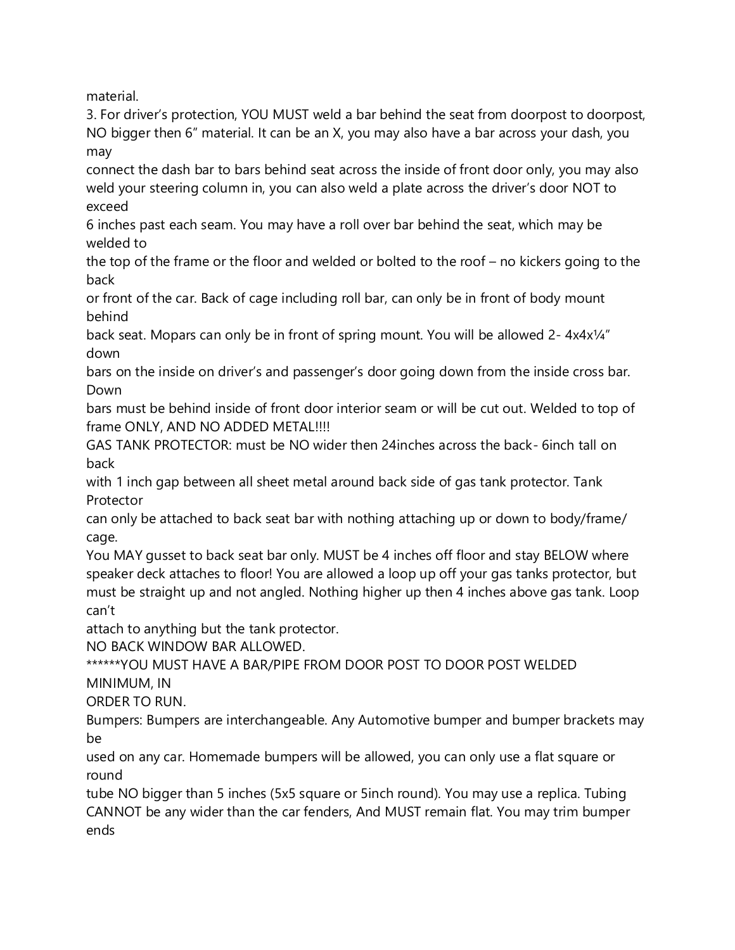material.

3. For driver's protection, YOU MUST weld a bar behind the seat from doorpost to doorpost, NO bigger then 6" material. It can be an X, you may also have a bar across your dash, you may

connect the dash bar to bars behind seat across the inside of front door only, you may also weld your steering column in, you can also weld a plate across the driver's door NOT to exceed

6 inches past each seam. You may have a roll over bar behind the seat, which may be welded to

the top of the frame or the floor and welded or bolted to the roof – no kickers going to the back

or front of the car. Back of cage including roll bar, can only be in front of body mount behind

back seat. Mopars can only be in front of spring mount. You will be allowed 2- 4x4x¼" down

bars on the inside on driver's and passenger's door going down from the inside cross bar. Down

bars must be behind inside of front door interior seam or will be cut out. Welded to top of frame ONLY, AND NO ADDED METAL!!!!

GAS TANK PROTECTOR: must be NO wider then 24inches across the back- 6inch tall on back

with 1 inch gap between all sheet metal around back side of gas tank protector. Tank Protector

can only be attached to back seat bar with nothing attaching up or down to body/frame/ cage.

You MAY gusset to back seat bar only. MUST be 4 inches off floor and stay BELOW where speaker deck attaches to floor! You are allowed a loop up off your gas tanks protector, but must be straight up and not angled. Nothing higher up then 4 inches above gas tank. Loop can't

attach to anything but the tank protector.

NO BACK WINDOW BAR ALLOWED.

\*\*\*\*\*\*YOU MUST HAVE A BAR/PIPE FROM DOOR POST TO DOOR POST WELDED

MINIMUM, IN

ORDER TO RUN.

Bumpers: Bumpers are interchangeable. Any Automotive bumper and bumper brackets may be

used on any car. Homemade bumpers will be allowed, you can only use a flat square or round

tube NO bigger than 5 inches (5x5 square or 5inch round). You may use a replica. Tubing CANNOT be any wider than the car fenders, And MUST remain flat. You may trim bumper ends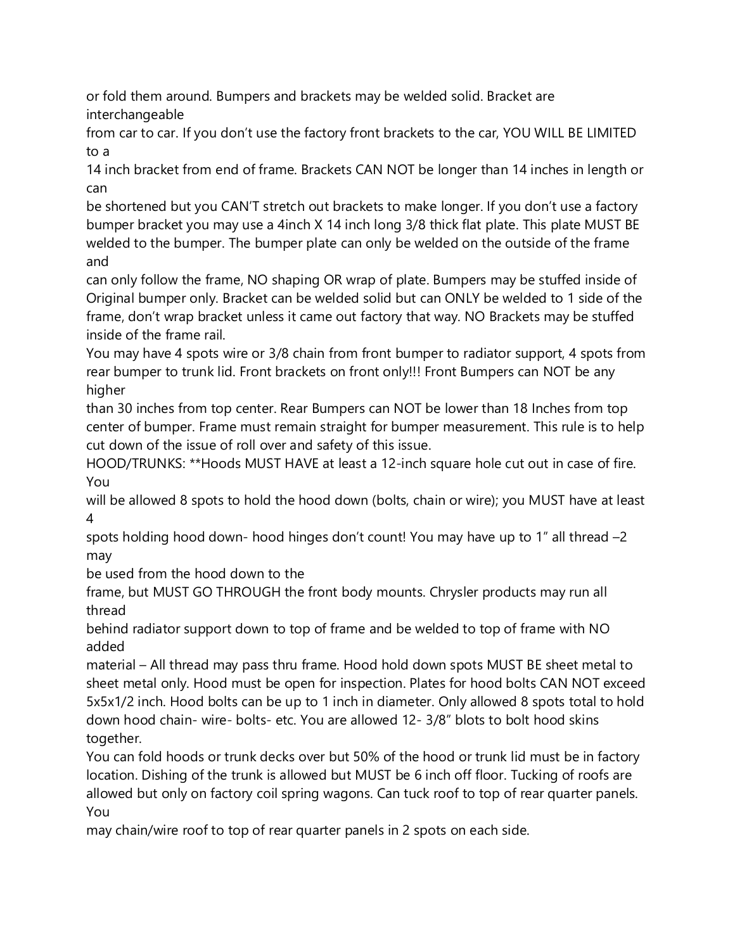or fold them around. Bumpers and brackets may be welded solid. Bracket are interchangeable

from car to car. If you don't use the factory front brackets to the car, YOU WILL BE LIMITED to a

14 inch bracket from end of frame. Brackets CAN NOT be longer than 14 inches in length or can

be shortened but you CAN'T stretch out brackets to make longer. If you don't use a factory bumper bracket you may use a 4inch X 14 inch long 3/8 thick flat plate. This plate MUST BE welded to the bumper. The bumper plate can only be welded on the outside of the frame and

can only follow the frame, NO shaping OR wrap of plate. Bumpers may be stuffed inside of Original bumper only. Bracket can be welded solid but can ONLY be welded to 1 side of the frame, don't wrap bracket unless it came out factory that way. NO Brackets may be stuffed inside of the frame rail.

You may have 4 spots wire or 3/8 chain from front bumper to radiator support, 4 spots from rear bumper to trunk lid. Front brackets on front only!!! Front Bumpers can NOT be any higher

than 30 inches from top center. Rear Bumpers can NOT be lower than 18 Inches from top center of bumper. Frame must remain straight for bumper measurement. This rule is to help cut down of the issue of roll over and safety of this issue.

HOOD/TRUNKS: \*\*Hoods MUST HAVE at least a 12-inch square hole cut out in case of fire. You

will be allowed 8 spots to hold the hood down (bolts, chain or wire); you MUST have at least 4

spots holding hood down- hood hinges don't count! You may have up to 1" all thread –2 may

be used from the hood down to the

frame, but MUST GO THROUGH the front body mounts. Chrysler products may run all thread

behind radiator support down to top of frame and be welded to top of frame with NO added

material – All thread may pass thru frame. Hood hold down spots MUST BE sheet metal to sheet metal only. Hood must be open for inspection. Plates for hood bolts CAN NOT exceed 5x5x1/2 inch. Hood bolts can be up to 1 inch in diameter. Only allowed 8 spots total to hold down hood chain- wire- bolts- etc. You are allowed 12- 3/8" blots to bolt hood skins together.

You can fold hoods or trunk decks over but 50% of the hood or trunk lid must be in factory location. Dishing of the trunk is allowed but MUST be 6 inch off floor. Tucking of roofs are allowed but only on factory coil spring wagons. Can tuck roof to top of rear quarter panels. You

may chain/wire roof to top of rear quarter panels in 2 spots on each side.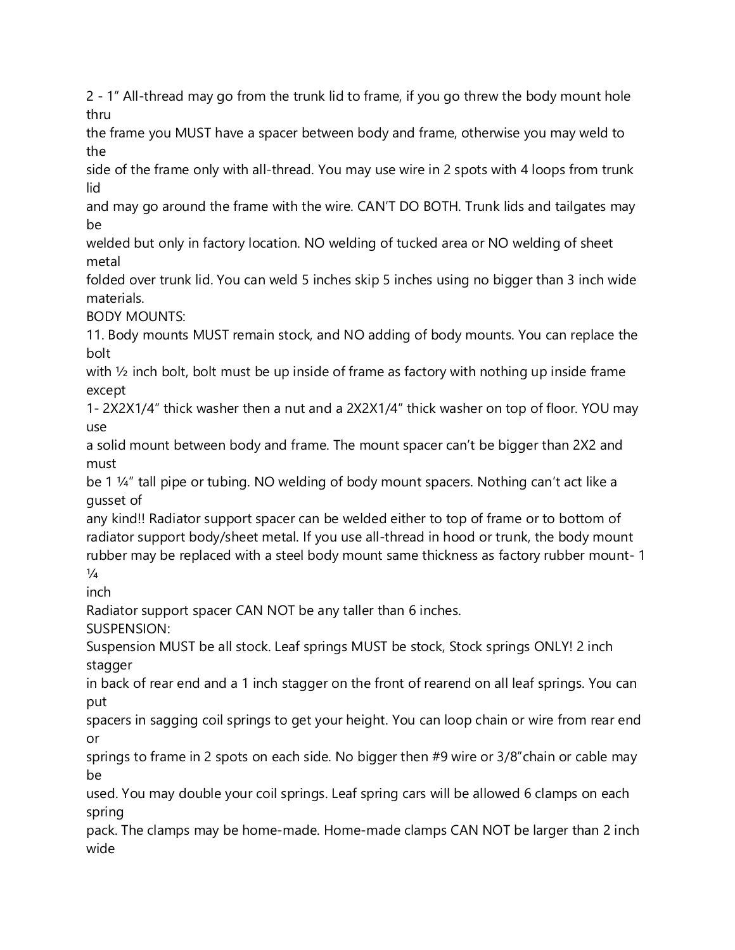2 - 1" All-thread may go from the trunk lid to frame, if you go threw the body mount hole thru

the frame you MUST have a spacer between body and frame, otherwise you may weld to the

side of the frame only with all-thread. You may use wire in 2 spots with 4 loops from trunk lid

and may go around the frame with the wire. CAN'T DO BOTH. Trunk lids and tailgates may be

welded but only in factory location. NO welding of tucked area or NO welding of sheet metal

folded over trunk lid. You can weld 5 inches skip 5 inches using no bigger than 3 inch wide materials.

BODY MOUNTS:

11. Body mounts MUST remain stock, and NO adding of body mounts. You can replace the bolt

with ½ inch bolt, bolt must be up inside of frame as factory with nothing up inside frame except

1- 2X2X1/4" thick washer then a nut and a 2X2X1/4" thick washer on top of floor. YOU may use

a solid mount between body and frame. The mount spacer can't be bigger than 2X2 and must

be 1 ¼" tall pipe or tubing. NO welding of body mount spacers. Nothing can't act like a gusset of

any kind!! Radiator support spacer can be welded either to top of frame or to bottom of radiator support body/sheet metal. If you use all-thread in hood or trunk, the body mount rubber may be replaced with a steel body mount same thickness as factory rubber mount- 1  $\frac{1}{4}$ 

inch

Radiator support spacer CAN NOT be any taller than 6 inches.

SUSPENSION:

Suspension MUST be all stock. Leaf springs MUST be stock, Stock springs ONLY! 2 inch stagger

in back of rear end and a 1 inch stagger on the front of rearend on all leaf springs. You can put

spacers in sagging coil springs to get your height. You can loop chain or wire from rear end or

springs to frame in 2 spots on each side. No bigger then #9 wire or 3/8"chain or cable may be

used. You may double your coil springs. Leaf spring cars will be allowed 6 clamps on each spring

pack. The clamps may be home-made. Home-made clamps CAN NOT be larger than 2 inch wide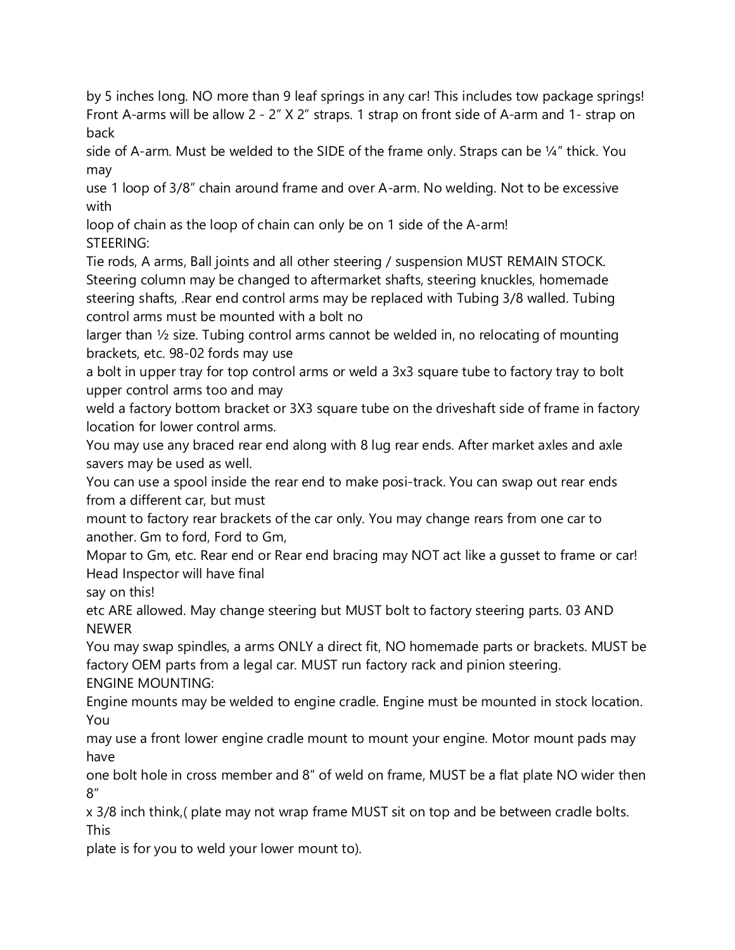by 5 inches long. NO more than 9 leaf springs in any car! This includes tow package springs! Front A-arms will be allow 2 - 2" X 2" straps. 1 strap on front side of A-arm and 1- strap on back

side of A-arm. Must be welded to the SIDE of the frame only. Straps can be  $\frac{1}{4}$ " thick. You may

use 1 loop of 3/8" chain around frame and over A-arm. No welding. Not to be excessive with

loop of chain as the loop of chain can only be on 1 side of the A-arm! STEERING:

Tie rods, A arms, Ball joints and all other steering / suspension MUST REMAIN STOCK. Steering column may be changed to aftermarket shafts, steering knuckles, homemade steering shafts, .Rear end control arms may be replaced with Tubing 3/8 walled. Tubing control arms must be mounted with a bolt no

larger than ½ size. Tubing control arms cannot be welded in, no relocating of mounting brackets, etc. 98-02 fords may use

a bolt in upper tray for top control arms or weld a 3x3 square tube to factory tray to bolt upper control arms too and may

weld a factory bottom bracket or 3X3 square tube on the driveshaft side of frame in factory location for lower control arms.

You may use any braced rear end along with 8 lug rear ends. After market axles and axle savers may be used as well.

You can use a spool inside the rear end to make posi-track. You can swap out rear ends from a different car, but must

mount to factory rear brackets of the car only. You may change rears from one car to another. Gm to ford, Ford to Gm,

Mopar to Gm, etc. Rear end or Rear end bracing may NOT act like a gusset to frame or car! Head Inspector will have final

say on this!

etc ARE allowed. May change steering but MUST bolt to factory steering parts. 03 AND NEWER

You may swap spindles, a arms ONLY a direct fit, NO homemade parts or brackets. MUST be factory OEM parts from a legal car. MUST run factory rack and pinion steering. ENGINE MOUNTING:

Engine mounts may be welded to engine cradle. Engine must be mounted in stock location. You

may use a front lower engine cradle mount to mount your engine. Motor mount pads may have

one bolt hole in cross member and 8" of weld on frame, MUST be a flat plate NO wider then 8"

x 3/8 inch think,( plate may not wrap frame MUST sit on top and be between cradle bolts. This

plate is for you to weld your lower mount to).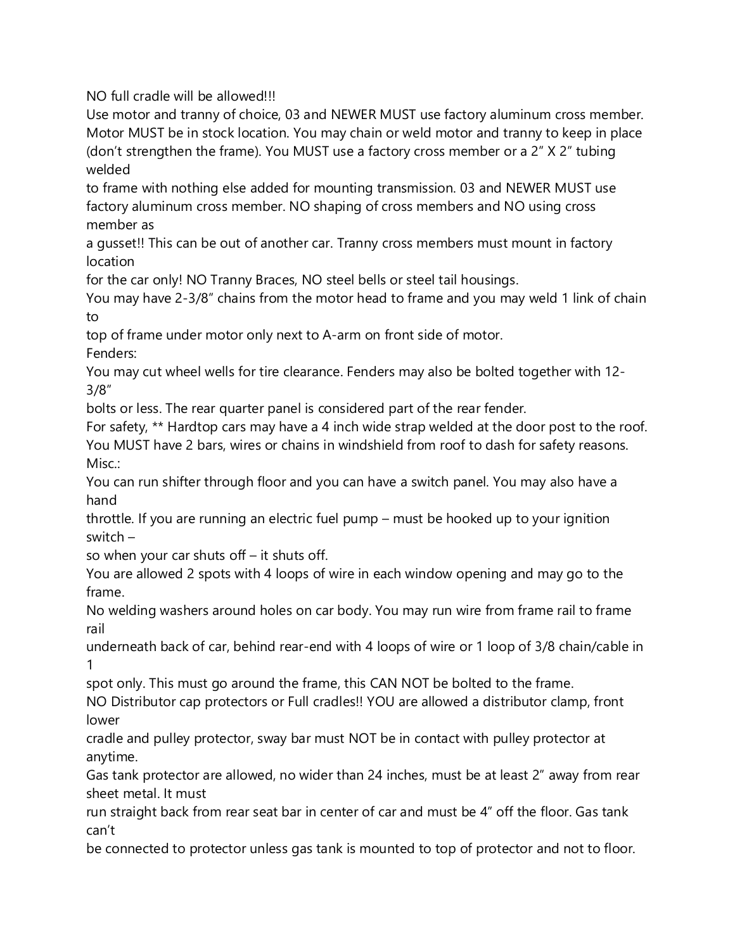NO full cradle will be allowed!!!

Use motor and tranny of choice, 03 and NEWER MUST use factory aluminum cross member. Motor MUST be in stock location. You may chain or weld motor and tranny to keep in place (don't strengthen the frame). You MUST use a factory cross member or a 2" X 2" tubing welded

to frame with nothing else added for mounting transmission. 03 and NEWER MUST use factory aluminum cross member. NO shaping of cross members and NO using cross member as

a gusset!! This can be out of another car. Tranny cross members must mount in factory location

for the car only! NO Tranny Braces, NO steel bells or steel tail housings.

You may have 2-3/8" chains from the motor head to frame and you may weld 1 link of chain to

top of frame under motor only next to A-arm on front side of motor.

Fenders:

You may cut wheel wells for tire clearance. Fenders may also be bolted together with 12- 3/8"

bolts or less. The rear quarter panel is considered part of the rear fender.

For safety, \*\* Hardtop cars may have a 4 inch wide strap welded at the door post to the roof. You MUST have 2 bars, wires or chains in windshield from roof to dash for safety reasons. Misc:

You can run shifter through floor and you can have a switch panel. You may also have a hand

throttle. If you are running an electric fuel pump – must be hooked up to your ignition switch –

so when your car shuts off – it shuts off.

You are allowed 2 spots with 4 loops of wire in each window opening and may go to the frame.

No welding washers around holes on car body. You may run wire from frame rail to frame rail

underneath back of car, behind rear-end with 4 loops of wire or 1 loop of 3/8 chain/cable in 1

spot only. This must go around the frame, this CAN NOT be bolted to the frame.

NO Distributor cap protectors or Full cradles!! YOU are allowed a distributor clamp, front lower

cradle and pulley protector, sway bar must NOT be in contact with pulley protector at anytime.

Gas tank protector are allowed, no wider than 24 inches, must be at least 2" away from rear sheet metal. It must

run straight back from rear seat bar in center of car and must be 4" off the floor. Gas tank can't

be connected to protector unless gas tank is mounted to top of protector and not to floor.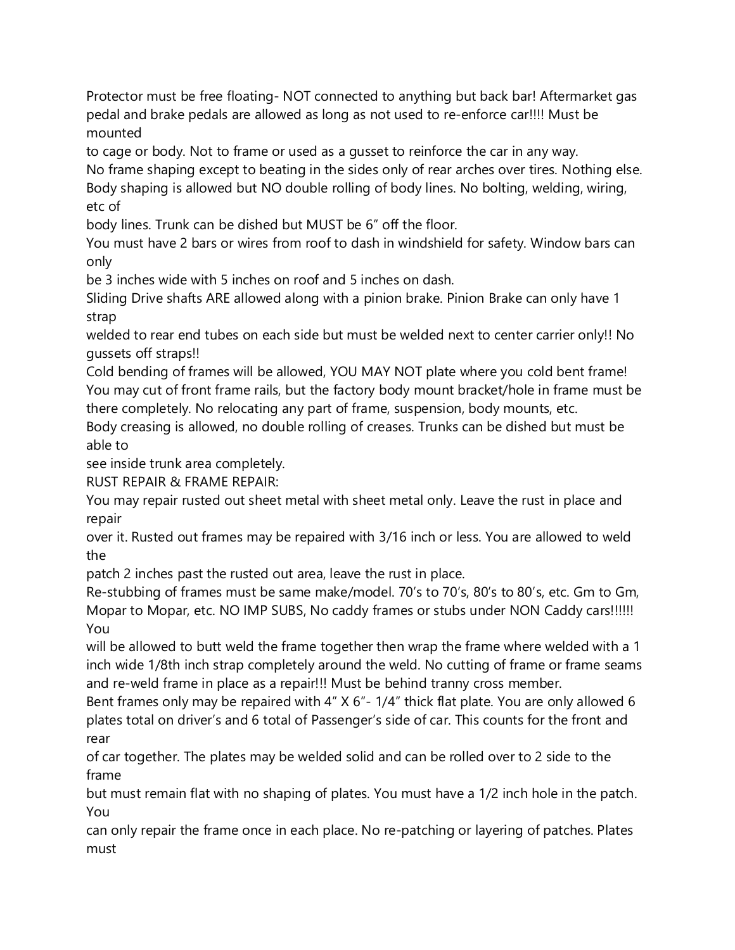Protector must be free floating- NOT connected to anything but back bar! Aftermarket gas pedal and brake pedals are allowed as long as not used to re-enforce car!!!! Must be mounted

to cage or body. Not to frame or used as a gusset to reinforce the car in any way. No frame shaping except to beating in the sides only of rear arches over tires. Nothing else. Body shaping is allowed but NO double rolling of body lines. No bolting, welding, wiring, etc of

body lines. Trunk can be dished but MUST be 6" off the floor.

You must have 2 bars or wires from roof to dash in windshield for safety. Window bars can only

be 3 inches wide with 5 inches on roof and 5 inches on dash.

Sliding Drive shafts ARE allowed along with a pinion brake. Pinion Brake can only have 1 strap

welded to rear end tubes on each side but must be welded next to center carrier only!! No gussets off straps!!

Cold bending of frames will be allowed, YOU MAY NOT plate where you cold bent frame! You may cut of front frame rails, but the factory body mount bracket/hole in frame must be there completely. No relocating any part of frame, suspension, body mounts, etc.

Body creasing is allowed, no double rolling of creases. Trunks can be dished but must be able to

see inside trunk area completely.

RUST REPAIR & FRAME REPAIR:

You may repair rusted out sheet metal with sheet metal only. Leave the rust in place and repair

over it. Rusted out frames may be repaired with 3/16 inch or less. You are allowed to weld the

patch 2 inches past the rusted out area, leave the rust in place.

Re-stubbing of frames must be same make/model. 70's to 70's, 80's to 80's, etc. Gm to Gm, Mopar to Mopar, etc. NO IMP SUBS, No caddy frames or stubs under NON Caddy cars!!!!!! You

will be allowed to butt weld the frame together then wrap the frame where welded with a 1 inch wide 1/8th inch strap completely around the weld. No cutting of frame or frame seams and re-weld frame in place as a repair!!! Must be behind tranny cross member.

Bent frames only may be repaired with 4" X 6"- 1/4" thick flat plate. You are only allowed 6 plates total on driver's and 6 total of Passenger's side of car. This counts for the front and rear

of car together. The plates may be welded solid and can be rolled over to 2 side to the frame

but must remain flat with no shaping of plates. You must have a 1/2 inch hole in the patch. You

can only repair the frame once in each place. No re-patching or layering of patches. Plates must